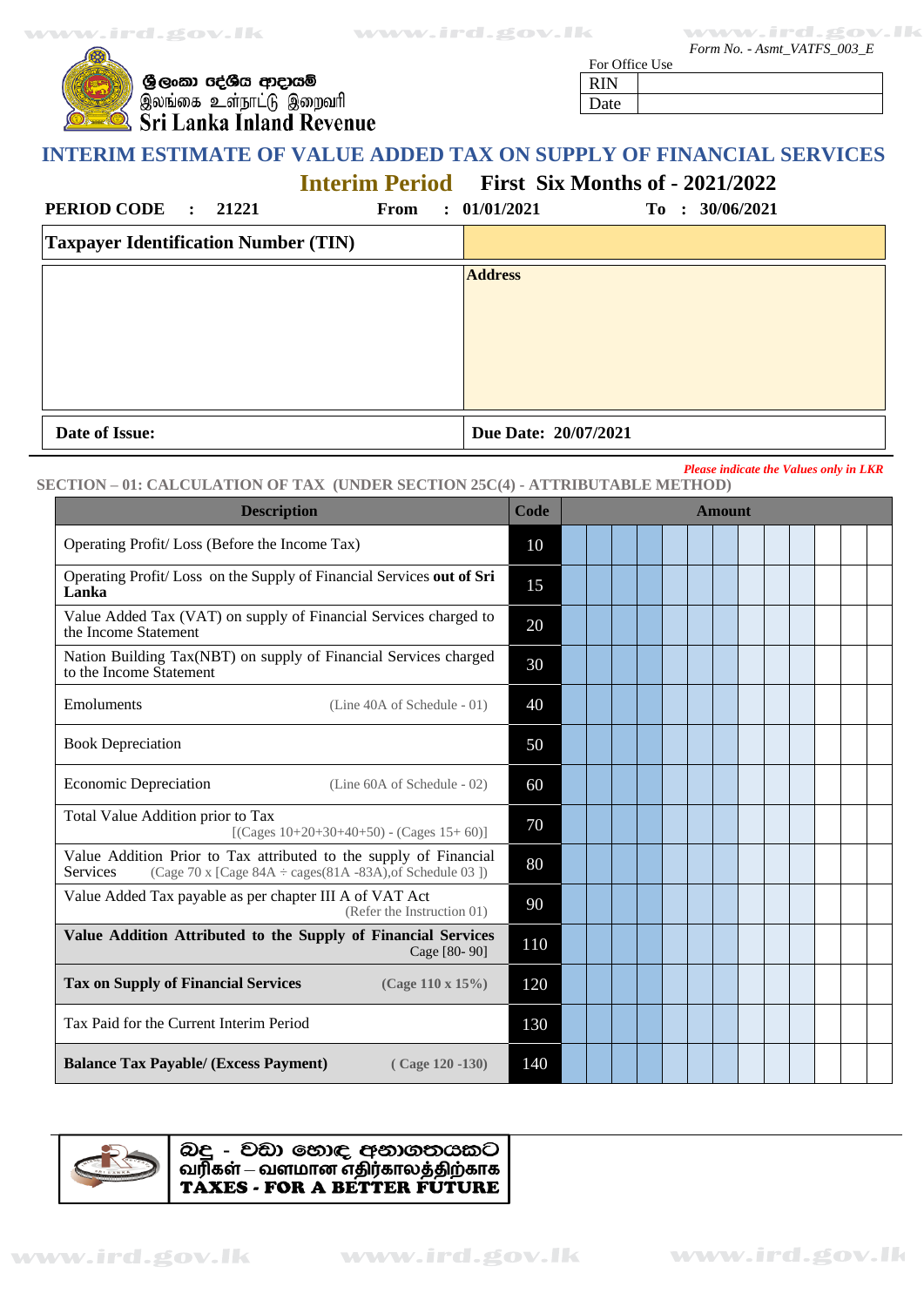**www.ird.gov.lk www.ird.gov.lk www.ird.gov.lk www.ird.gov.lk**

 *Form No. - Asmt\_VATFS\_003\_E*

| ලී ල |
|------|
| இல   |
| Sri  |
|      |

 $\rightarrow$ 

ඉංකා රද්ශීය ආදායම් .<br>ங்கை உள்நாட்டு இறைவரி Lanka Inland Revenue

For Office Use RIN Date

# **INTERIM ESTIMATE OF VALUE ADDED TAX ON SUPPLY OF FINANCIAL SERVICES**

**Interim Period First Six Months of - 2021/2022**

| Date of Issue:                              |      | Due Date: 20/07/2021 |                 |
|---------------------------------------------|------|----------------------|-----------------|
|                                             |      |                      |                 |
|                                             |      | <b>Address</b>       |                 |
| <b>Taxpayer Identification Number (TIN)</b> |      |                      |                 |
| PERIOD CODE : 21221                         | From | : 01/01/2021         | To : 30/06/2021 |

#### *Please indicate the Values only in LKR* **SECTION – 01: CALCULATION OF TAX (UNDER SECTION 25C(4) - ATTRIBUTABLE METHOD)**

| <b>Description</b>                                                                                                                                       | Code | <b>Amount</b> |
|----------------------------------------------------------------------------------------------------------------------------------------------------------|------|---------------|
| Operating Profit/Loss (Before the Income Tax)                                                                                                            | 10   |               |
| Operating Profit/Loss on the Supply of Financial Services out of Sri<br>Lanka                                                                            | 15   |               |
| Value Added Tax (VAT) on supply of Financial Services charged to<br>the Income Statement                                                                 | 20   |               |
| Nation Building Tax(NBT) on supply of Financial Services charged<br>to the Income Statement                                                              | 30   |               |
| Emoluments<br>(Line 40A of Schedule - 01)                                                                                                                | 40   |               |
| <b>Book Depreciation</b>                                                                                                                                 | 50   |               |
| <b>Economic Depreciation</b><br>(Line 60A of Schedule - 02)                                                                                              | 60   |               |
| Total Value Addition prior to Tax<br>$[$ (Cages 10+20+30+40+50) - (Cages 15+60)]                                                                         | 70   |               |
| Value Addition Prior to Tax attributed to the supply of Financial<br>Services<br>(Cage 70 x [Cage $84A \div \text{cases}(81A - 83A)$ , of Schedule 03 ]) | 80   |               |
| Value Added Tax payable as per chapter III A of VAT Act<br>(Refer the Instruction 01)                                                                    | 90   |               |
| Value Addition Attributed to the Supply of Financial Services<br>Cage [80-90]                                                                            | 110  |               |
| <b>Tax on Supply of Financial Services</b><br>(Cage 110 x 15%)                                                                                           | 120  |               |
| Tax Paid for the Current Interim Period                                                                                                                  | 130  |               |
| <b>Balance Tax Payable/ (Excess Payment)</b><br>$(Cage 120 - 130)$                                                                                       | 140  |               |



බදු - වඩා හොඳ අනාගතයකට வரிகள் – வளமான எதிர்காலத்திற்காக TAXES - FOR A BETTER FUTURE